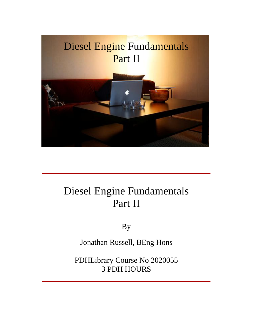

### Diesel Engine Fundamentals Part II

By

Jonathan Russell, BEng Hons

PDHLibrary Course No 2020055 3 PDH HOURS

-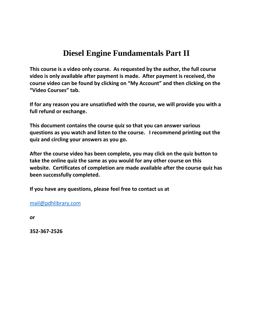### **Diesel Engine Fundamentals Part II course is <sup>a</sup> video only course. As requested by the author, the full course**

**is Diesel Engine Fundamentals Part II**<br> **parter is** a video only course. As requested by the author, the full course<br>
is only available after payment is made. After payment is received, the **biesel Engine Fundamentals Part II**<br>urse is a video only course. As requested by the author, the full course<br>is only available after payment is made. After payment is received, the<br>video can be found by clicking on "My Ac **Course Executs**<br>Universible aft<br>Courses in the found<br>Courses in the found<br>Courses in the found In this course is a video only course. As requested by the author, the full course<br>deo is only available after payment is made. After payment is received, the<br>purse video can be found by clicking on "My Account" and then c **full**This course is a video only co<br>video is only available after **p**<br>course video can be found by<br>"Video Courses" tab.<br>If for any reason you are uns<br>full refund or exchange. **course video can be found by clicking on "My Account" and then clicking on the "Video Courses" tab.<br>If for any reason you are unsatisfied with the course, we will provide you with a full refund or exchange.** "Video Courses" tab. **quiz**

**a** *y* **and** *listensing* **<b>and** *listensing* **and** *listensing listensing listensing listensing listensing listensing listensing listensing listensing <i>listensing listensing l* **take**

**and <b>f** for any reason you are unsatisfied with the c<br>full refund or exchange.<br>This document contains the course quiz so that<br>questions as you watch and listen to the cours<br>quiz and circling your answers as you go. **there is a contribution of the course contribution**  $\mathbf{r}$  **contributed**  $\mathbf{r}$  **could the**<br> **courrent contains the course quiz so that you can answer various**<br> **course is you** watch and listen to the course. I re **there is a standard contains the course quiz so that you can answer various<br>tions as you watch and listen to the course. I recommend printing out the<br>and circling your answers as you go.<br>The course video has been complete** This document contains the course quiz so that you can answer various ment contains the course quiz so that you can answer various<br>as you watch and listen to the course. I recommend printing out the<br>circling your answers as you go.<br>course video has been complete, you may click on the quiz bu quiz and circling your answers as you go.

**conservally consider the sum of the sum of distinguiz and circling your answers as y<br>After the course video has been contake the online quiz the same as y<br>website. Certificates of completio<br>been successfully completed.** After the course video has been complete, you may click on the quiz button to<br>take the online quiz the same as you would for any other course on this<br>website. Certificates of completion are made available after the course take the online quiz the same as you would for any other course on this been successfully completed.

If you have any questions, please feel free to contact us at

mail@pdhlibrary.com

or

352-367-2526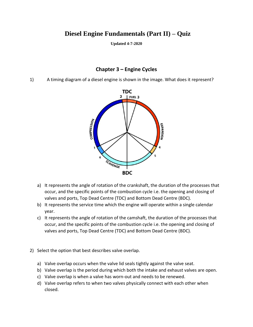## **Diesel Engine Fundamentals (Part II) – Quiz** damentals (Part II) -<br><sub>dated</sub> 4-7-2020<br>3 – Engine Cycles

**Updated 4-7-2020**

Updated 4-7-2020<br>
Chapter 3 – Engine Cycles<br>
A timing diagram of a diesel engine is shown in the image. What does it represent?  $1)$ 



- and the specific points of the crankshaft, the duration of the proce occur, and the specific points of the combustion cycle i.e. the opening and cloudly valves and ports. Top Dead Centre (TDC) and Bottom Dead Centre (BDC) It represents the angle of rotation of the crankshaft, the duration of the processes that<br>occur, and the specific points of the combustion cycle i.e. the opening and closing of<br>valves and ports, Top Dead Centre (TDC) and B a) It represents the angle of rotation of the crankshaft, the duration of the processes that<br>occur, and the specific points of the combustion cycle i.e. the opening and closing of<br>valves and ports, Top Dead Centre (TDC) an It repr esents the angle of rotation of the crankshaft, the duration of the processes that<br>and the specific points of the combustion cycle i.e. the opening and closing of<br>and ports, Top Dead Centre (TDC) and Bottom Dead Centre (BD occur, and the specific points of the combustion cycle i.e. the opening and closing of
- 
- and the specific points of the combustion cycle i.e. the opening and clc<br>and ports, Top Dead Centre (TDC) and Bottom Dead Centre (BDC).<br>esents the service time which the engine will operate within a single ca<br>esents the an year.<br>
c) It represents the angle of rotation of the camshaft, t<br>
occur, and the specific points of the combustion cyc<br>
valves and ports, Top Dead Centre (TDC) and Botton<br>
Select the option that best describes valve overla occur, and the specific points of the combustion cycle i.e. the opening and closi<br>valves and ports, Top Dead Centre (TDC) and Bottom Dead Centre (BDC).<br>Select the option that best describes valve overlap.<br>a) Valve overlap
- 2) Select the option that best describes valve overlap.
- valves and ports, Top Dead Centre (TDC) and Bottom Dead Centre (BDC).<br>Select the option that best describes valve overlap.<br>a) Valve overlap occurs when the valve lid seals tightly against the valve seat.<br>b) Valve overlap i
	- a) Valve overlap occurs when the valve lid seals tightly against the valve seat.<br>b) Valve overlap is the period during which both the intake and exhaust valves<br>c) Valve overlap is when a valve has worn-out and needs to be b) Valve overlap is the period during which both the intake and exhaust valves are open.<br>
	c) Valve overlap is when a valve has worn-out and needs to be renewed.<br>
	d) Valve overlap refers to when two valves physically connec
	-
	- closed.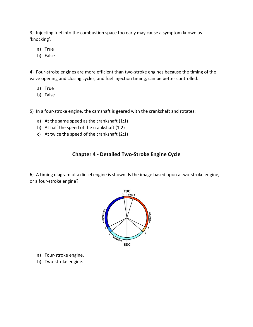Injecting fuelinto the combustion space too early may cause <sup>a</sup> symptom known as njecting fuel into<br>ocking'.<br>a) True tting fuel into<br>ng'.<br>True<br>False 3) Injecting fuel into the combustion space too early may cause a symptom known as<br>ocking'.<br>a) True<br>b) False<br>Four-stroke engines are more efficient than two-stroke engines because the timing of the 'knocking'.

- 
- b) False

ocking'.<br>a) True<br>b) False<br>Four-stroke engines are more efficient than two-stroke engines because the timing of<br>re opening and closing cvcles, and fuel iniection timing, can be better controlled. True<br>False<br>·-stroke engin<br>pening and clo<br>True False<br>`-stroke engine<br>pening and clo<br>True<br>False 4) Four-stroke engines are more efficient than two-stroke engines because the timing or the copening and closing cycles, and fuel injection timing, can be better controlled.<br>
a) True<br>
b) False<br>
In a four-stroke engine, the ca

- a) True
- b) False

True<br>
False<br>
four-stroke engine, the camshaft is geared with<br>
At the same speed as the crankshaft (1:1) True<br>False<br>four-stroke engine, the camshaft is geared wi<br>At the same speed as the crankshaft (1:1)<br>At half the speed of the crankshaft (1:2) False<br>four-stroke engine, the camshaft is geared with<br>At the same speed as the crankshaft (1:1)<br>At half the speed of the crankshaft (1:2)<br>At twice the speed of the crankshaft (2:1) **Lette**<br> **Chapter** Examshaft is geared with the crankshaft and rotates:<br>
e crankshaft (1:1)<br>
crankshaft (1:2)<br>
e crankshaft (2:1)<br> **4 - Detailed Two-Stroke Engine Cvcle** 

- 
- 
- 

A timing diagram of a diesel engine is shown. Is the image based upon a two-stroke engine.<br>
6) A timing diagram of a diesel engine is shown. Is the image based upon a two-stroke engine. **Chapter 4 - Detailed Two-Stroke Engine Cycle**<br>6) A timing diagram of a diesel engine is shown. Is the image based upon a two-stroke engine,<br>or a four-stroke engine?



- a) Four-stroke engine. a) Four-stroke engine.<br>b) Two-stroke engine.
-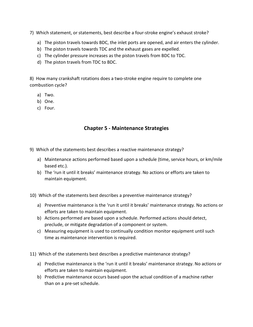- Which statement. or statements, best describe a four-stroke engine's exhaust stroke?<br>Which statement, or statements, best describe a four-stroke engine's exhaust stroke? The piston travels to piston travels to piston the piston that the piston travels and air enters the cylinder.<br>The piston travels towards BDC, the inlet ports are opened, and air enters the cylinder.
	- Which statement, or statements, best describe a four-stroke engine's exhau<br>a) The piston travels towards BDC, the inlet ports are opened, and air ente<br>b) The piston travels towards TDC and the exhaust gases are expelled. Which statement, or statements, best describe a four-stroke engine's exhaust s<br>a) The piston travels towards BDC, the inlet ports are opened, and air enters t<br>b) The piston travels towards TDC and the exhaust gases are exp a) The piston travels towards BDC, the inlet ports are opened, and air enters the cylinder.<br>
	b) The piston travels towards TDC and the exhaust gases are expelled.<br>
	c) The cylinder pressure increases as the piston travels f
	- ch statement, or statements, best descril<br>The piston travels towards BDC, the inlet<br>The piston travels towards TDC and the e<br>The cylinder pressure increases as the pi<br>The piston travels from TDC to BDC.
	- c) The cylinder pressure increases as the piston travels from BDC to TDC.
	-

b) The piston travels to<br>c) The cylinder pressu<br>d) The piston travels fi<br>8) How many crankshaft ro<br>combustion cycle? c) The cylino<br>d) The pisto<br>How many cra<br>hbustion cycle<br>a) Two. d) The pisto<br>How many cra<br>hbustion cycle<br>a) Two.<br>b) One. <sup>,</sup> many cra<br>stion cycle<br>Two.<br>One.<br>Four. **<sup>5</sup> - Maintenance Strategies**

- 
- 
- 

- Chapter 5 Maintenance Strategies<br>Which of the statements best describes a reactive maintenance strategy?
	- **Chapter 5 Maintenance Strategies<br>
	Strategies**<br>
	Adintenance actions performed based upon a schedule (time, service hours, or km/mile Which of the statem<br>a) Maintenance ac<br>based etc.). ch of the statements best describes a reactive maintenance strategy?<br>Maintenance actions performed based upon a schedule (time, service hours, or km/mile<br>based etc.).<br>The 'run it until it breaks' maintenance strategy. No a statements best<br>ince actions perf<br>:.).<br>t until it breaks'<br>equipment.
	- Maintenance actions performed based upon a schedule (time, service hours, or know based etc.).<br>
	Soly The 'run it until it breaks' maintenance strategy. No actions or efforts are taken to<br>
	maintain equipment.<br>
	Which of the based etc.).<br>The 'run it until it breaks' maintenance strategy. No actions or efforts are taken to<br>maintain equipment.<br>ich of the statements best describes a preventive maintenance strategy?<br>Preventive maintenance is the ' The 'ru

time

- b) The 'run it until it breaks' maintenance strate<br>maintain equipment.<br>Which of the statements best describes a preven<br>a) Preventive maintenance is the 'run it until it b<br>efforts are taken to maintain equipment. maintain equipment.<br>hich of the statements best describes a preventive maintenance strategy?<br>Preventive maintenance is the 'run it until it breaks' maintenance strategy. No action<br>efforts are taken to maintain equipment.<br>A Which of the statements best describes a preventive maintenance st<br>a) Preventive maintenance is the 'run it until it breaks' maintenance<br>efforts are taken to maintain equipment.<br>b) Actions performed are based upon a schedu ich of the statements best describes a preventive maintenance strategy?<br>Preventive maintenance is the 'run it until it breaks' maintenance strategy. No actions or<br>efforts are taken to maintain equipment.<br>Actions performed entive maintenance is the 'run it until it breakts are taken to maintain equipment.<br>Ins performed are based upon a schedule. Per<br>ude, or mitigate degradation of a component<br>suring equipment is used to continually condit<br>as
- between the statements are based upon a schedule. Performed actions should detect,<br>preclude, or mitigate degradation of a component or system.<br>(a) Measuring equipment is used to continually condition monitor equipment unti
- preclude, or mitigate degradation of a component or system.<br>Measuring equipment is used to continually condition monitor equipment until such<br>time as maintenance intervention is required.<br>And the statements best describes Measu
- 
- c) Measuring equipment is used to continually c<br>time as maintenance intervention is required.<br>Which of the statements best describes a predict<br>a) Predictive maintenance is the 'run it until it brefforts are taken to mainta time as maintenance intervention is required.<br>hich of the statements best describes a predictive maintenance strategy?<br>Predictive maintenance is the 'run it until it breaks' maintenance strategy. No actions or<br>efforts are f the statements best<br>ctive maintenance is t<br>ts are taken to maintai<br>ctive maintenance occ<br>on a pre-set schedule.
	-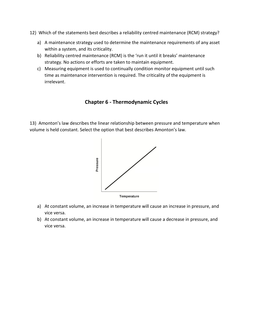- Which of the statements best describes <sup>a</sup> reliability centred maintenance (RCM) strategy? A maintenance stratements best describes a reliability centred maintenance (RCM) strategy?<br>A maintenance strategy used to determine the maintenance requirements of any asset
	- Which of the statements best describes a<br>a) A maintenance strategy used to detern<br>within a system, and its criticality. ich of the statements best describes a reliability centred maintenance (RCM) strategy?<br>A maintenance strategy used to determine the maintenance requirements of any asset<br>within a system, and its criticality.<br>Reliability ce Which of the statements best describes a reliability centred maintenance<br>a) A maintenance strategy used to determine the maintenance requirer<br>within a system, and its criticality.<br>b) Reliability centred maintenance (RCM) i ich of the statements best describes a reliability centred maintenance (RCM) strategy?<br>A maintenance strategy used to determine the maintenance requirements of any asset<br>within a system, and its criticality.<br>Reliability ce intenance strategy used to determine the maintenance requirements of any asset<br>n a system, and its criticality.<br>bility centred maintenance (RCM) is the 'run it until it breaks' maintenance<br>egy. No actions or efforts are ta A mainten
	- b) Reliability centred maintenance (RCM) is the 'run it until it breaks' maintenance strategy. No actions or efforts are taken to maintain equipment.
	- re (RCM) is the 'run it until it breaks' material are taken to maintain equipment.<br>**to continually condition monitor equiprodynamic**<br>**6 Thermodynamic Cycles**

Chapter 6 - Thermodynamic Cycles<br>
Chapter 6 - Thermodynamic Cycles<br>
Amonton's law describes the linear relationship between pressure and temperature when **Chapter 6 - Thermodynamic Cycles**<br>13) Amonton's law describes the linear relationship between pressure and temperature when<br>13) Amonton's law.<br>13) Amonton's law.



- a) At constant vol<br>vice versa. Temperature<br>At constant volume, an increase in temperature will cause an increase in pressure, and<br>At constant volume, an increase in temperature will cause a decrease in pressure, and **ponstant**<br>versa.<br>pnstant v<br>versa.
-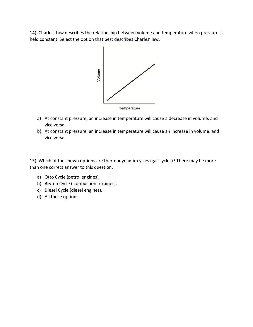Charlesí Law describes the relationship between volume and temperature when pressure is 14) Charles' Law describes the relationship between volume and temperature when pressure is held constant. Select the option that best describes Charles' law.



- a) At constant pre<br>vice versa. Temperature<br>At constant pressure, an increase in temperature will cause a decrease in volume, and<br>At constant pressure, an increase in temperature will cause an increase in volume, and onstant pre<br>versa.<br>onstant pre<br>versa.
- vice versa.<br>
wice versa.<br>
Which of the shown options are thermodynamic cycles (gas cycles)? There may be more

b) At constant pressure, an increase in te<br>vice versa.<br>15) Which of the shown options are thermoder<br>than one correct answer to this question. vice versa.<br>Which of the shown options are the<br>mone correct answer to this question<br>a) Otto Cvcle (petrol engines). Which of the shown options are thermodyn<br>I one correct answer to this question.<br>a) Otto Cycle (petrol engines).<br>b) Bryton Cycle (combustion turbines). Which of the shown options are the<br>in one correct answer to this question<br>a) Otto Cycle (petrol engines).<br>b) Bryton Cycle (combustion turbine<br>c) Diesel Cycle (diesel engines). Nich of the shown<br>The correct answer<br>Otto Cycle (petrol<br>Bryton Cycle (com<br>Diesel Cycle (diese<br>All these options.

- 
- 
- 
-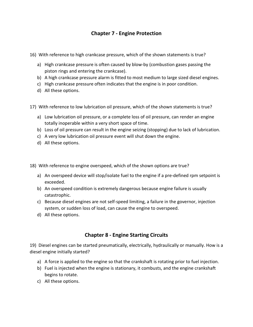# **<sup>7</sup> - Engine Protection**

- Chapter 7 Engine Protection<br>With reference to high crankcase pressure, which of the shown statements is true? **Chapter 7 - Engine Protection<br>High crankcase pressure, which of the shown statements is true?**<br>High crankcase pressure is often caused by blow-by (combustion gases passing the
	- **Chapter 7 Engine**<br>With reference to high crankcase pressure, whic<br>a) High crankcase pressure is often caused by bl<br>piston rings and entering the crankcase). With reference to high crankcase pressure, which of the shown statements is true?<br>
	a) High crankcase pressure is often caused by blow-by (combustion gases passing the<br>
	piston rings and entering the crankcase).<br>
	b) A high c a) High crankcase pressure is often caused by blow-by (combustion gases passing the piston rings and entering the crankcase). th reference to high cr<br>High crankcase pressu<br>piston rings and enter<br>A high crankcase pressu<br>High crankcase pressu<br>All these options. piston rings and entering the crankcase).<br>
	(a) A high crankcase pressure alarm is fitted to most medium to large sized diesel engines.<br>
	(b) High crankcase pressure often indicates that the engine is in poor condition.<br>
	(b)
	- b) A high crankcase pressure alarm is fitted to most medium to large sized diesel engines.
	- c) High crankcase pressure often indicates that the engine is in poor condition.
	-
- A high crankcase pressure alarm is fitted to most medium to large sized diesel engines.<br>High crankcase pressure often indicates that the engine is in poor condition.<br>All these options.<br>th reference to low lubrication oil p
	- c) High crankcase pressure often indicates that the engine<br>d) All these options.<br>With reference to low lubrication oil pressure, which of the<br>a) Low lubrication oil pressure, or a complete loss of oil pre<br>totally inoperabl All these options.<br>
	With reference to low lubrication oil pressure, which of the shown statements is true?<br>
	a) Low lubrication oil pressure, or a complete loss of oil pressure, can render an engine<br>
	totally inoperable with With reference to low lubrication oil pressure, which of the shown stateme<br>a) Low lubrication oil pressure, or a complete loss of oil pressure, can rend<br>totally inoperable within a very short space of time.<br>b) Loss of oil th reference to low lut<br>Low lubrication oil pre<br>totally inoperable with<br>Loss of oil pressure ca<br>A very low lubrication<br>All these options.
	- totally inoperable within a very short space of time.<br>b) Loss of oil pressure can result in the engine seizing (stopping) due to lack of lubrication.
	- c) A very low lubrication oil pressure event will shut down the engine.
	- d) All these options.

- A very low lubrication oil pressure event will shut down the engine.<br>All these options.<br>th reference to engine overspeed, which of the shown options are true?<br>An overspeed device will stop/isolate fuel to the engine if a p With reference to<br>a) An overspeed of<br>exceeded. a) An overspeed device will stop/isolate fuel to the engine if a pre-defined rpm setpoint is exceeded. With reference to en<br>a) An overspeed dev<br>exceeded.<br>b) An overspeed cor<br>catastrophic. th reference to engine overspeed, which of the shown options are true?<br>An overspeed device will stop/isolate fuel to the engine if a pre-defined rpm setpoint is<br>exceeded.<br>An overspeed condition is extremely dangerous becau
- a) An overspeed device will stop/isolate fuel to the engine if a pre-defined<br>exceeded.<br>b) An overspeed condition is extremely dangerous because engine failure<br>catastrophic.<br>c) Because diesel engines are not self-speed limi An overspeed device \<br>exceeded.<br>An overspeed conditic<br>catastrophic.<br>Because diesel engine<br>system, or sudden los:<br>All these options. b) An overspeed condition is extremely dangerous because engine failure is usually
- **emely dangerous because engine failur<br><b>t** self-speed limiting, a failure in the gover<br>, can cause the engine to overspeed.<br>**8 Engine Starting Circuits** system, or sudden loss of load, can cause the engine to overspeed.<br>
All these options.<br> **Chapter 8 - Engine Starting Circuits**<br>
Diesel engines can be started pneumatically, electrically, hydraulically or manually. How is a
- d) All these options.

All these options.<br> **Chapter {**<br>
esel engines can be started pne<br>
engine initially started? **Chapter 8 - Engine Starting Circuits**<br>Diesel engines can be started pneumatically, electrically, hydraulically or manually. How is a<br>lel engine initially started?<br>a) A force is applied to the engine so that the crankshaft **Fuel is injected Window Chapter 8 - Engine Starting Circuits**<br>Fuel engines can be started pneumatically, electrically, hydraulically or manually. How is a<br>A force is applied to the engine so that the crankshaft is rotatin Diesel engines can be statel engine initially started<br>a) A force is applied to t<br>b) Fuel is injected when<br>begins to rotate. sel engines can be<br>ngine initially star<br>A force is applied<br>Fuel is injected wl<br>begins to rotate.<br>All these options.

- 
- 
-